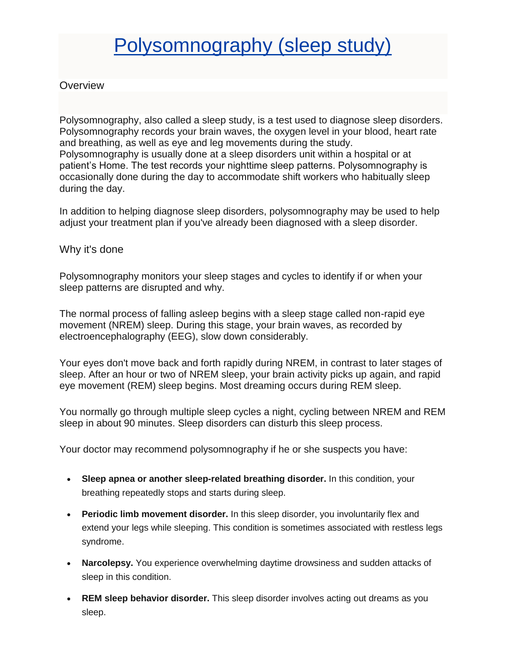# [Polysomnography \(sleep study\)](https://www.mayoclinic.org/tests-procedures/polysomnography/about/pac-20394877)

## **Overview**

Polysomnography, also called a sleep study, is a test used to diagnose sleep disorders. Polysomnography records your brain waves, the oxygen level in your blood, heart rate and breathing, as well as eye and leg movements during the study. Polysomnography is usually done at a sleep disorders unit within a hospital or at patient's Home. The test records your nighttime sleep patterns. Polysomnography is occasionally done during the day to accommodate shift workers who habitually sleep during the day.

In addition to helping diagnose sleep disorders, polysomnography may be used to help adjust your treatment plan if you've already been diagnosed with a sleep disorder.

## Why it's done

Polysomnography monitors your sleep stages and cycles to identify if or when your sleep patterns are disrupted and why.

The normal process of falling asleep begins with a sleep stage called non-rapid eye movement (NREM) sleep. During this stage, your brain waves, as recorded by electroencephalography (EEG), slow down considerably.

Your eyes don't move back and forth rapidly during NREM, in contrast to later stages of sleep. After an hour or two of NREM sleep, your brain activity picks up again, and rapid eye movement (REM) sleep begins. Most dreaming occurs during REM sleep.

You normally go through multiple sleep cycles a night, cycling between NREM and REM sleep in about 90 minutes. Sleep disorders can disturb this sleep process.

Your doctor may recommend polysomnography if he or she suspects you have:

- **Sleep apnea or another sleep-related breathing disorder.** In this condition, your breathing repeatedly stops and starts during sleep.
- **Periodic limb movement disorder.** In this sleep disorder, you involuntarily flex and extend your legs while sleeping. This condition is sometimes associated with restless legs syndrome.
- **Narcolepsy.** You experience overwhelming daytime drowsiness and sudden attacks of sleep in this condition.
- **REM sleep behavior disorder.** This sleep disorder involves acting out dreams as you sleep.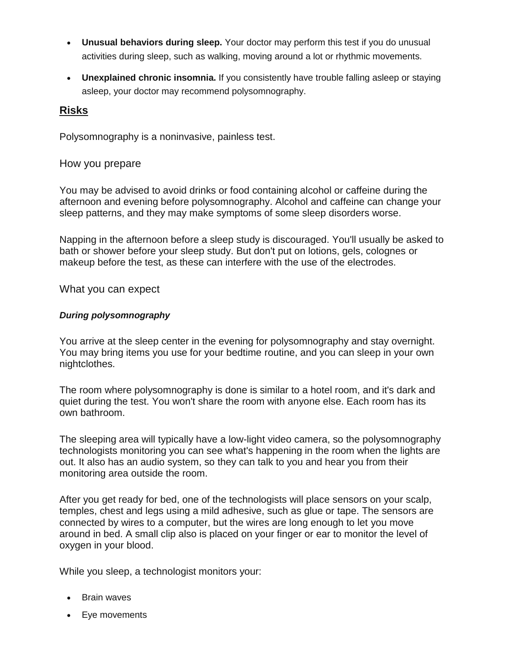- **Unusual behaviors during sleep.** Your doctor may perform this test if you do unusual activities during sleep, such as walking, moving around a lot or rhythmic movements.
- **Unexplained chronic insomnia.** If you consistently have trouble falling asleep or staying asleep, your doctor may recommend polysomnography.

## **Risks**

Polysomnography is a noninvasive, painless test.

#### How you prepare

You may be advised to avoid drinks or food containing alcohol or caffeine during the afternoon and evening before polysomnography. Alcohol and caffeine can change your sleep patterns, and they may make symptoms of some sleep disorders worse.

Napping in the afternoon before a sleep study is discouraged. You'll usually be asked to bath or shower before your sleep study. But don't put on lotions, gels, colognes or makeup before the test, as these can interfere with the use of the electrodes.

What you can expect

#### *During polysomnography*

You arrive at the sleep center in the evening for polysomnography and stay overnight. You may bring items you use for your bedtime routine, and you can sleep in your own nightclothes.

The room where polysomnography is done is similar to a hotel room, and it's dark and quiet during the test. You won't share the room with anyone else. Each room has its own bathroom.

The sleeping area will typically have a low-light video camera, so the polysomnography technologists monitoring you can see what's happening in the room when the lights are out. It also has an audio system, so they can talk to you and hear you from their monitoring area outside the room.

After you get ready for bed, one of the technologists will place sensors on your scalp, temples, chest and legs using a mild adhesive, such as glue or tape. The sensors are connected by wires to a computer, but the wires are long enough to let you move around in bed. A small clip also is placed on your finger or ear to monitor the level of oxygen in your blood.

While you sleep, a technologist monitors your:

- Brain waves
- Eye movements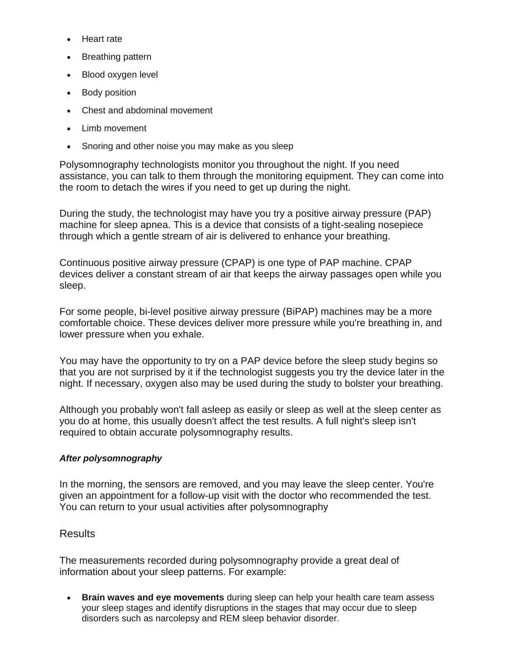- Heart rate
- Breathing pattern
- Blood oxygen level
- Body position
- Chest and abdominal movement
- Limb movement
- Snoring and other noise you may make as you sleep

Polysomnography technologists monitor you throughout the night. If you need assistance, you can talk to them through the monitoring equipment. They can come into the room to detach the wires if you need to get up during the night.

During the study, the technologist may have you try a positive airway pressure (PAP) machine for sleep apnea. This is a device that consists of a tight-sealing nosepiece through which a gentle stream of air is delivered to enhance your breathing.

Continuous positive airway pressure (CPAP) is one type of PAP machine. CPAP devices deliver a constant stream of air that keeps the airway passages open while you sleep.

For some people, bi-level positive airway pressure (BiPAP) machines may be a more comfortable choice. These devices deliver more pressure while you're breathing in, and lower pressure when you exhale.

You may have the opportunity to try on a PAP device before the sleep study begins so that you are not surprised by it if the technologist suggests you try the device later in the night. If necessary, oxygen also may be used during the study to bolster your breathing.

Although you probably won't fall asleep as easily or sleep as well at the sleep center as you do at home, this usually doesn't affect the test results. A full night's sleep isn't required to obtain accurate polysomnography results.

#### *After polysomnography*

In the morning, the sensors are removed, and you may leave the sleep center. You're given an appointment for a follow-up visit with the doctor who recommended the test. You can return to your usual activities after polysomnography

#### Results

The measurements recorded during polysomnography provide a great deal of information about your sleep patterns. For example:

• **Brain waves and eye movements** during sleep can help your health care team assess your sleep stages and identify disruptions in the stages that may occur due to sleep disorders such as narcolepsy and REM sleep behavior disorder.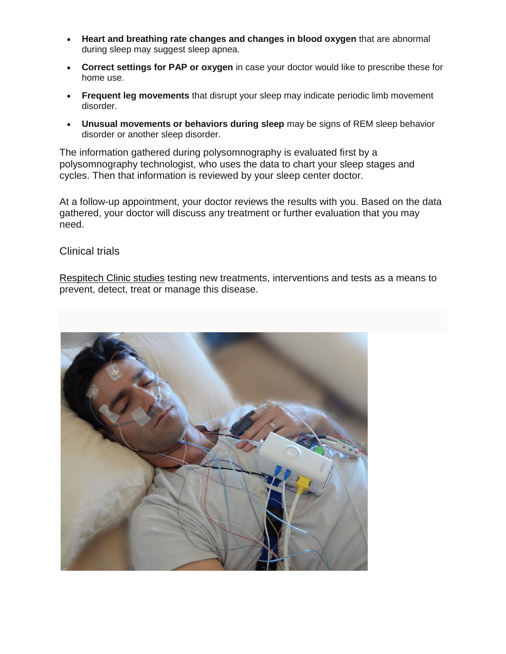- **Heart and breathing rate changes and changes in blood oxygen** that are abnormal during sleep may suggest sleep apnea.
- **Correct settings for PAP or oxygen** in case your doctor would like to prescribe these for home use.
- **Frequent leg movements** that disrupt your sleep may indicate periodic limb movement disorder.
- **Unusual movements or behaviors during sleep** may be signs of REM sleep behavior disorder or another sleep disorder.

The information gathered during polysomnography is evaluated first by a polysomnography technologist, who uses the data to chart your sleep stages and cycles. Then that information is reviewed by your sleep center doctor.

At a follow-up appointment, your doctor reviews the results with you. Based on the data gathered, your doctor will discuss any treatment or further evaluation that you may need.

## Clinical trials

Respitech [Clinic studies](https://www.mayo.edu/research/clinical-trials/search-results?studySiteStatusesGrouped=Open/Status%20Unknown&pocId=PRC-20394863) testing new treatments, interventions and tests as a means to prevent, detect, treat or manage this disease.